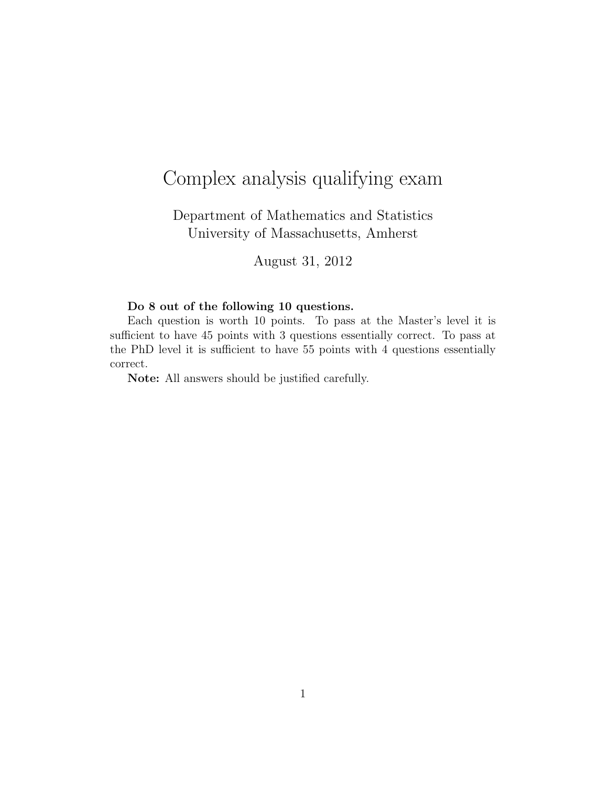## Complex analysis qualifying exam

Department of Mathematics and Statistics University of Massachusetts, Amherst

August 31, 2012

## Do 8 out of the following 10 questions.

Each question is worth 10 points. To pass at the Master's level it is sufficient to have 45 points with 3 questions essentially correct. To pass at the PhD level it is sufficient to have 55 points with 4 questions essentially correct.

Note: All answers should be justified carefully.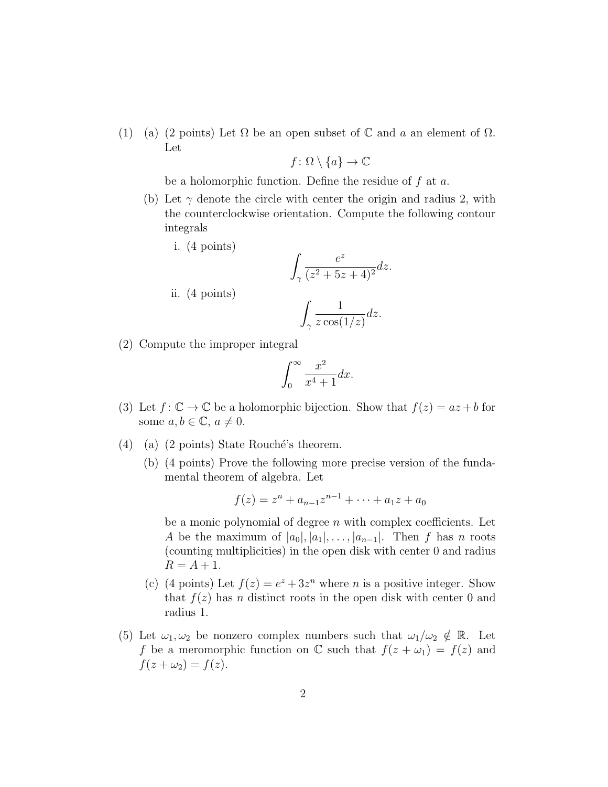(1) (a) (2 points) Let  $\Omega$  be an open subset of  $\mathbb C$  and a an element of  $\Omega$ . Let

$$
f \colon \Omega \setminus \{a\} \to \mathbb{C}
$$

be a holomorphic function. Define the residue of  $f$  at  $a$ .

- (b) Let  $\gamma$  denote the circle with center the origin and radius 2, with the counterclockwise orientation. Compute the following contour integrals
	- i. (4 points)

ii. (4 points)  

$$
\int_{\gamma} \frac{e^z}{(z^2 + 5z + 4)^2} dz.
$$

$$
\int_{\gamma} \frac{1}{z \cos(1/z)} dz.
$$

(2) Compute the improper integral

$$
\int_0^\infty \frac{x^2}{x^4 + 1} dx.
$$

- (3) Let  $f: \mathbb{C} \to \mathbb{C}$  be a holomorphic bijection. Show that  $f(z) = az + b$  for some  $a, b \in \mathbb{C}, a \neq 0$ .
- (4) (a) (2 points) State Rouché's theorem.
	- (b) (4 points) Prove the following more precise version of the fundamental theorem of algebra. Let

$$
f(z) = zn + an-1zn-1 + \dots + a_1z + a_0
$$

be a monic polynomial of degree  $n$  with complex coefficients. Let A be the maximum of  $|a_0|, |a_1|, \ldots, |a_{n-1}|$ . Then f has n roots (counting multiplicities) in the open disk with center 0 and radius  $R = A + 1.$ 

- (c) (4 points) Let  $f(z) = e^z + 3z^n$  where *n* is a positive integer. Show that  $f(z)$  has n distinct roots in the open disk with center 0 and radius 1.
- (5) Let  $\omega_1, \omega_2$  be nonzero complex numbers such that  $\omega_1/\omega_2 \notin \mathbb{R}$ . Let f be a meromorphic function on  $\mathbb C$  such that  $f(z + \omega_1) = f(z)$  and  $f(z + \omega_2) = f(z).$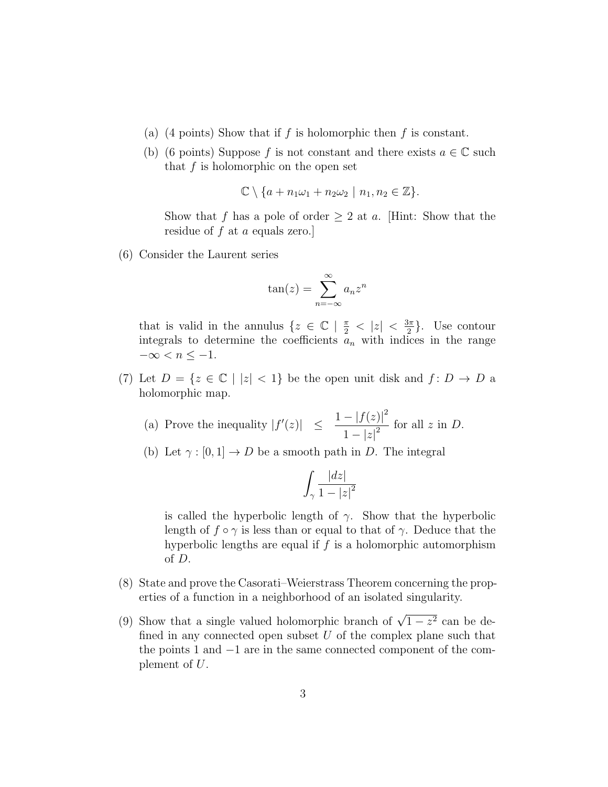- (a) (4 points) Show that if f is holomorphic then f is constant.
- (b) (6 points) Suppose f is not constant and there exists  $a \in \mathbb{C}$  such that  $f$  is holomorphic on the open set

$$
\mathbb{C}\setminus\{a+n_1\omega_1+n_2\omega_2\mid n_1,n_2\in\mathbb{Z}\}.
$$

Show that f has a pole of order  $\geq 2$  at a. [Hint: Show that the residue of f at a equals zero.]

(6) Consider the Laurent series

$$
\tan(z) = \sum_{n=-\infty}^{\infty} a_n z^n
$$

that is valid in the annulus  $\{z \in \mathbb{C} \mid \frac{\pi}{2} < |z| < \frac{3\pi}{2}\}$  $\frac{3\pi}{2}$ . Use contour integrals to determine the coefficients  $a_n$  with indices in the range  $-\infty < n \leq -1$ .

(7) Let  $D = \{z \in \mathbb{C} \mid |z| < 1\}$  be the open unit disk and  $f: D \to D$  a holomorphic map.

(a) Prove the inequality 
$$
|f'(z)| \leq \frac{1 - |f(z)|^2}{1 - |z|^2}
$$
 for all  $z$  in  $D$ .

(b) Let  $\gamma : [0, 1] \to D$  be a smooth path in D. The integral

$$
\int_{\gamma} \frac{|dz|}{1-|z|^2}
$$

is called the hyperbolic length of  $\gamma$ . Show that the hyperbolic length of  $f \circ \gamma$  is less than or equal to that of  $\gamma$ . Deduce that the hyperbolic lengths are equal if  $f$  is a holomorphic automorphism of D.

- (8) State and prove the Casorati–Weierstrass Theorem concerning the properties of a function in a neighborhood of an isolated singularity.
- (9) Show that a single valued holomorphic branch of  $\sqrt{1-z^2}$  can be defined in any connected open subset  $U$  of the complex plane such that the points 1 and −1 are in the same connected component of the complement of U.